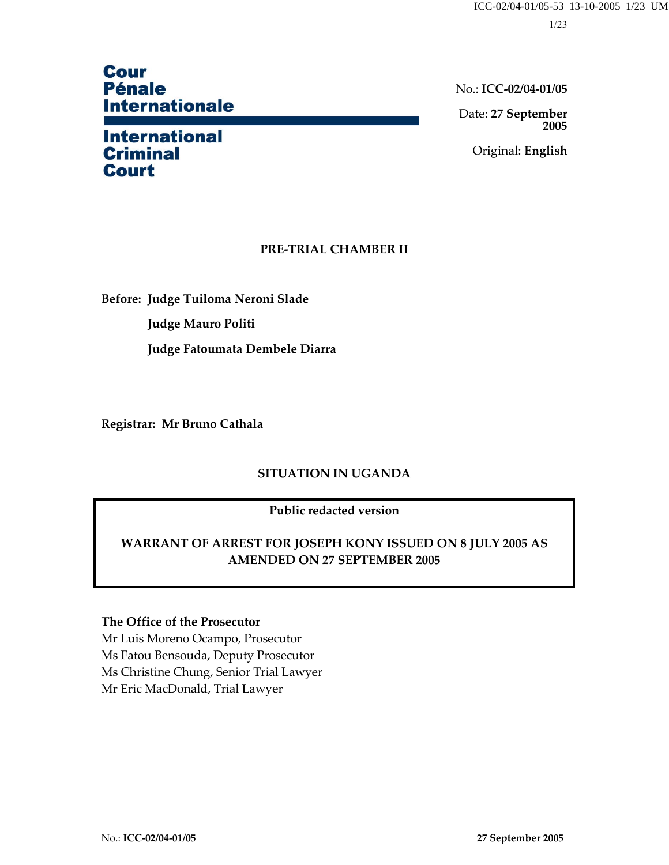# **Cour Pénale Internationale**

# **International Criminal Court**

No.: **ICC-02/04-01/05**

Date: **27 September 2005**

Original: **English**

# **PRE-TRIAL CHAMBER II**

**Before: Judge Tuiloma Neroni Slade Judge Mauro Politi Judge Fatoumata Dembele Diarra** 

**Registrar: Mr Bruno Cathala** 

# **SITUATION IN UGANDA**

# **Public redacted version**

# **WARRANT OF ARREST FOR JOSEPH KONY ISSUED ON 8 JULY 2005 AS AMENDED ON 27 SEPTEMBER 2005**

### **The Office of the Prosecutor**

Mr Luis Moreno Ocampo, Prosecutor Ms Fatou Bensouda, Deputy Prosecutor Ms Christine Chung, Senior Trial Lawyer Mr Eric MacDonald, Trial Lawyer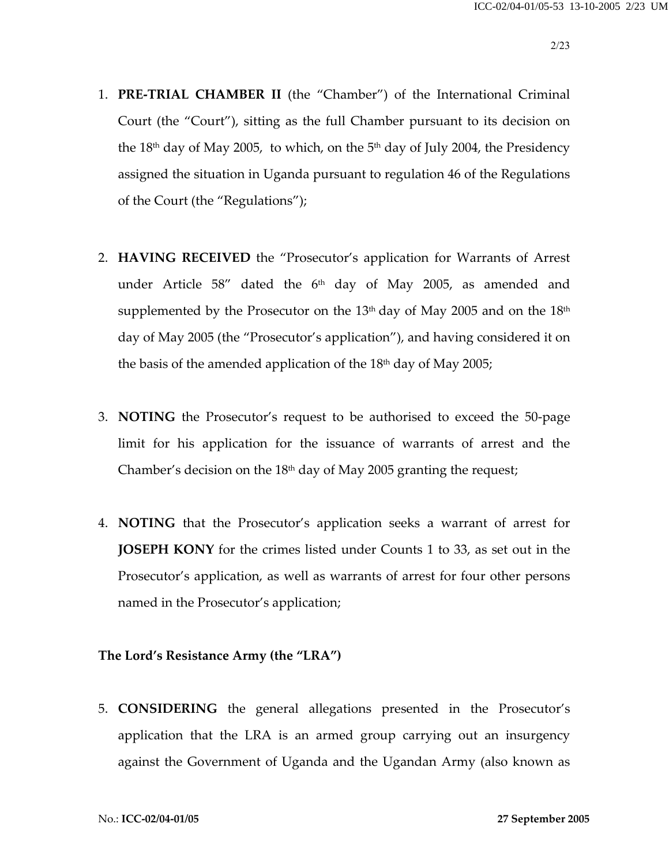- 1. **PRE-TRIAL CHAMBER II** (the "Chamber") of the International Criminal Court (the "Court"), sitting as the full Chamber pursuant to its decision on the  $18<sup>th</sup>$  day of May 2005, to which, on the  $5<sup>th</sup>$  day of July 2004, the Presidency assigned the situation in Uganda pursuant to regulation 46 of the Regulations of the Court (the "Regulations");
- 2. **HAVING RECEIVED** the "Prosecutor's application for Warrants of Arrest under Article 58" dated the  $6<sup>th</sup>$  day of May 2005, as amended and supplemented by the Prosecutor on the  $13<sup>th</sup>$  day of May 2005 and on the  $18<sup>th</sup>$ day of May 2005 (the "Prosecutor's application"), and having considered it on the basis of the amended application of the  $18<sup>th</sup>$  day of May 2005;
- 3. **NOTING** the Prosecutor's request to be authorised to exceed the 50-page limit for his application for the issuance of warrants of arrest and the Chamber's decision on the  $18<sup>th</sup>$  day of May 2005 granting the request;
- 4. **NOTING** that the Prosecutor's application seeks a warrant of arrest for **JOSEPH KONY** for the crimes listed under Counts 1 to 33, as set out in the Prosecutor's application, as well as warrants of arrest for four other persons named in the Prosecutor's application;

# **The Lord's Resistance Army (the "LRA")**

5. **CONSIDERING** the general allegations presented in the Prosecutor's application that the LRA is an armed group carrying out an insurgency against the Government of Uganda and the Ugandan Army (also known as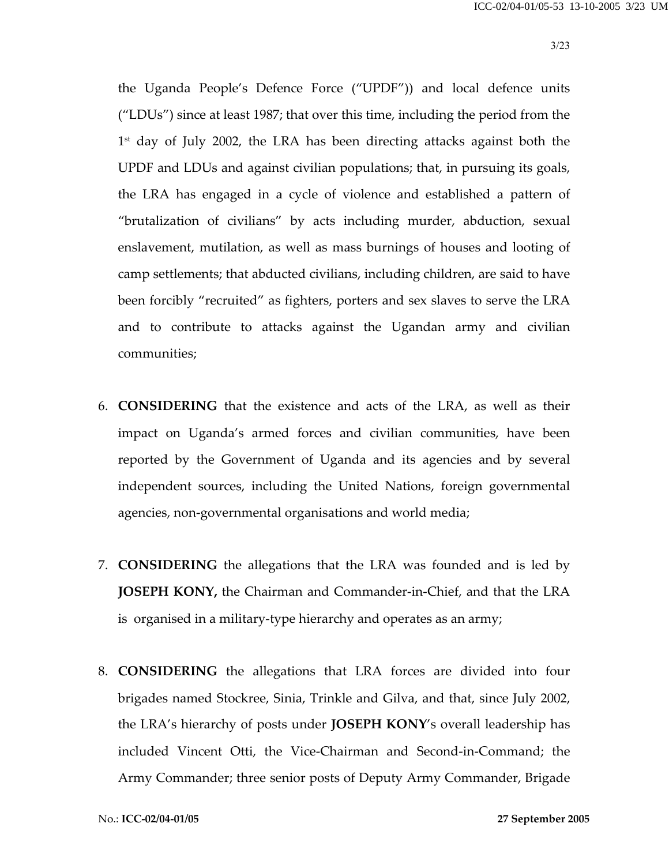the Uganda People's Defence Force ("UPDF")) and local defence units ("LDUs") since at least 1987; that over this time, including the period from the 1st day of July 2002, the LRA has been directing attacks against both the UPDF and LDUs and against civilian populations; that, in pursuing its goals, the LRA has engaged in a cycle of violence and established a pattern of "brutalization of civilians" by acts including murder, abduction, sexual enslavement, mutilation, as well as mass burnings of houses and looting of camp settlements; that abducted civilians, including children, are said to have been forcibly "recruited" as fighters, porters and sex slaves to serve the LRA and to contribute to attacks against the Ugandan army and civilian communities;

- 6. **CONSIDERING** that the existence and acts of the LRA, as well as their impact on Uganda's armed forces and civilian communities, have been reported by the Government of Uganda and its agencies and by several independent sources, including the United Nations, foreign governmental agencies, non-governmental organisations and world media;
- 7. **CONSIDERING** the allegations that the LRA was founded and is led by **JOSEPH KONY,** the Chairman and Commander-in-Chief, and that the LRA is organised in a military-type hierarchy and operates as an army;
- 8. **CONSIDERING** the allegations that LRA forces are divided into four brigades named Stockree, Sinia, Trinkle and Gilva, and that, since July 2002, the LRA's hierarchy of posts under **JOSEPH KONY**'s overall leadership has included Vincent Otti, the Vice-Chairman and Second-in-Command; the Army Commander; three senior posts of Deputy Army Commander, Brigade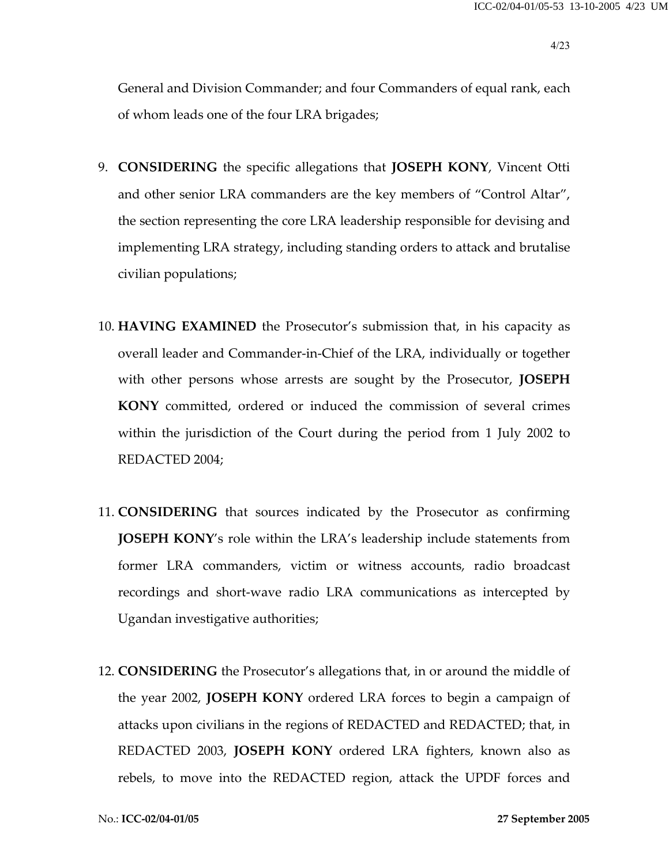General and Division Commander; and four Commanders of equal rank, each of whom leads one of the four LRA brigades;

- 9. **CONSIDERING** the specific allegations that **JOSEPH KONY**, Vincent Otti and other senior LRA commanders are the key members of "Control Altar", the section representing the core LRA leadership responsible for devising and implementing LRA strategy, including standing orders to attack and brutalise civilian populations;
- 10. **HAVING EXAMINED** the Prosecutor's submission that, in his capacity as overall leader and Commander-in-Chief of the LRA, individually or together with other persons whose arrests are sought by the Prosecutor, **JOSEPH KONY** committed, ordered or induced the commission of several crimes within the jurisdiction of the Court during the period from 1 July 2002 to REDACTED 2004;
- 11. **CONSIDERING** that sources indicated by the Prosecutor as confirming **JOSEPH KONY**'s role within the LRA's leadership include statements from former LRA commanders, victim or witness accounts, radio broadcast recordings and short-wave radio LRA communications as intercepted by Ugandan investigative authorities;
- 12. **CONSIDERING** the Prosecutor's allegations that, in or around the middle of the year 2002, **JOSEPH KONY** ordered LRA forces to begin a campaign of attacks upon civilians in the regions of REDACTED and REDACTED; that, in REDACTED 2003, **JOSEPH KONY** ordered LRA fighters, known also as rebels, to move into the REDACTED region, attack the UPDF forces and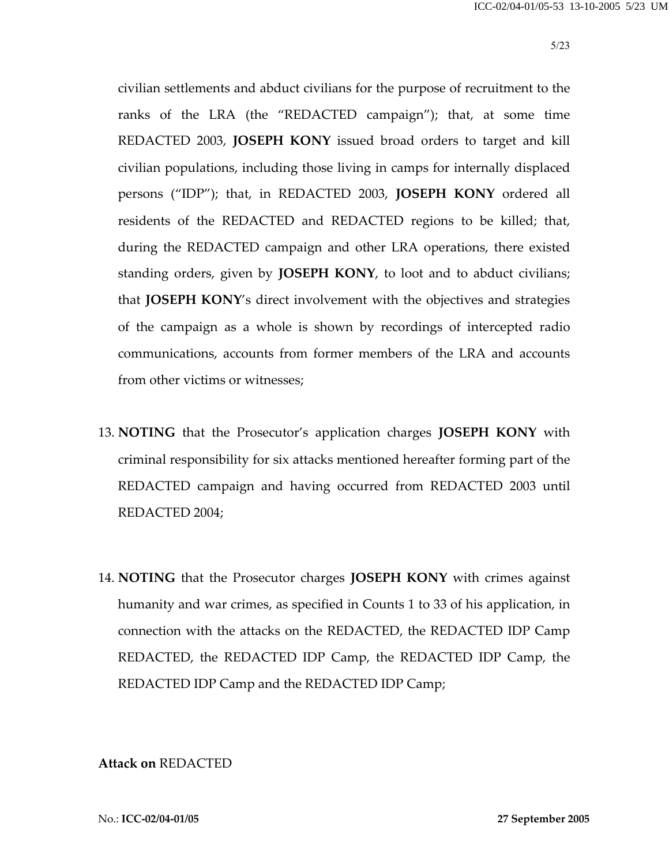civilian settlements and abduct civilians for the purpose of recruitment to the ranks of the LRA (the "REDACTED campaign"); that, at some time REDACTED 2003, **JOSEPH KONY** issued broad orders to target and kill civilian populations, including those living in camps for internally displaced persons ("IDP"); that, in REDACTED 2003, **JOSEPH KONY** ordered all residents of the REDACTED and REDACTED regions to be killed; that, during the REDACTED campaign and other LRA operations, there existed standing orders, given by **JOSEPH KONY**, to loot and to abduct civilians; that **JOSEPH KONY**'s direct involvement with the objectives and strategies of the campaign as a whole is shown by recordings of intercepted radio communications, accounts from former members of the LRA and accounts from other victims or witnesses;

- 13. **NOTING** that the Prosecutor's application charges **JOSEPH KONY** with criminal responsibility for six attacks mentioned hereafter forming part of the REDACTED campaign and having occurred from REDACTED 2003 until REDACTED 2004;
- 14. **NOTING** that the Prosecutor charges **JOSEPH KONY** with crimes against humanity and war crimes, as specified in Counts 1 to 33 of his application, in connection with the attacks on the REDACTED, the REDACTED IDP Camp REDACTED, the REDACTED IDP Camp, the REDACTED IDP Camp, the REDACTED IDP Camp and the REDACTED IDP Camp;

### **Attack on** REDACTED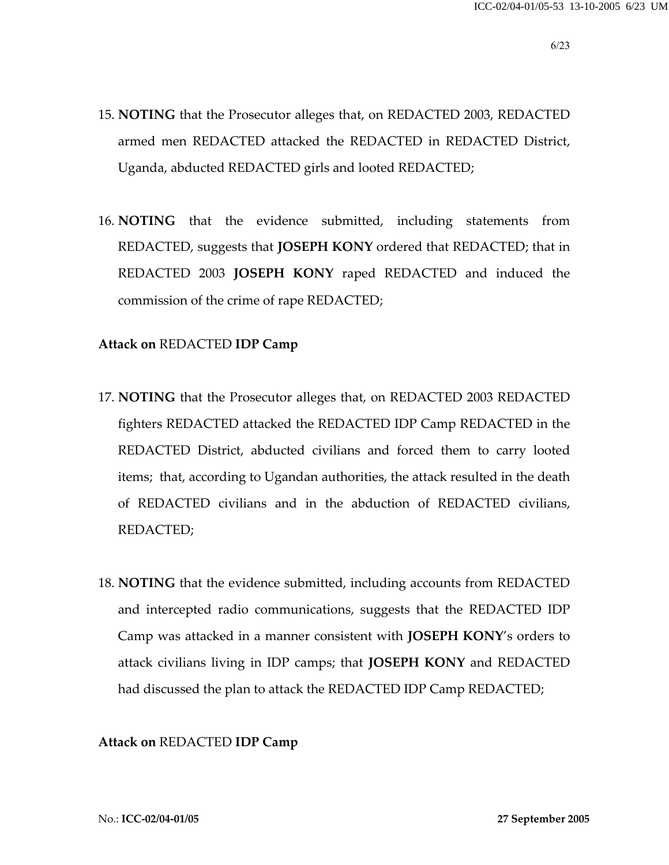- 15. **NOTING** that the Prosecutor alleges that, on REDACTED 2003, REDACTED armed men REDACTED attacked the REDACTED in REDACTED District, Uganda, abducted REDACTED girls and looted REDACTED;
- 16. **NOTING** that the evidence submitted, including statements from REDACTED, suggests that **JOSEPH KONY** ordered that REDACTED; that in REDACTED 2003 **JOSEPH KONY** raped REDACTED and induced the commission of the crime of rape REDACTED;

### **Attack on** REDACTED **IDP Camp**

- 17. **NOTING** that the Prosecutor alleges that, on REDACTED 2003 REDACTED fighters REDACTED attacked the REDACTED IDP Camp REDACTED in the REDACTED District, abducted civilians and forced them to carry looted items; that, according to Ugandan authorities, the attack resulted in the death of REDACTED civilians and in the abduction of REDACTED civilians, REDACTED;
- 18. **NOTING** that the evidence submitted, including accounts from REDACTED and intercepted radio communications, suggests that the REDACTED IDP Camp was attacked in a manner consistent with **JOSEPH KONY**'s orders to attack civilians living in IDP camps; that **JOSEPH KONY** and REDACTED had discussed the plan to attack the REDACTED IDP Camp REDACTED;

# **Attack on** REDACTED **IDP Camp**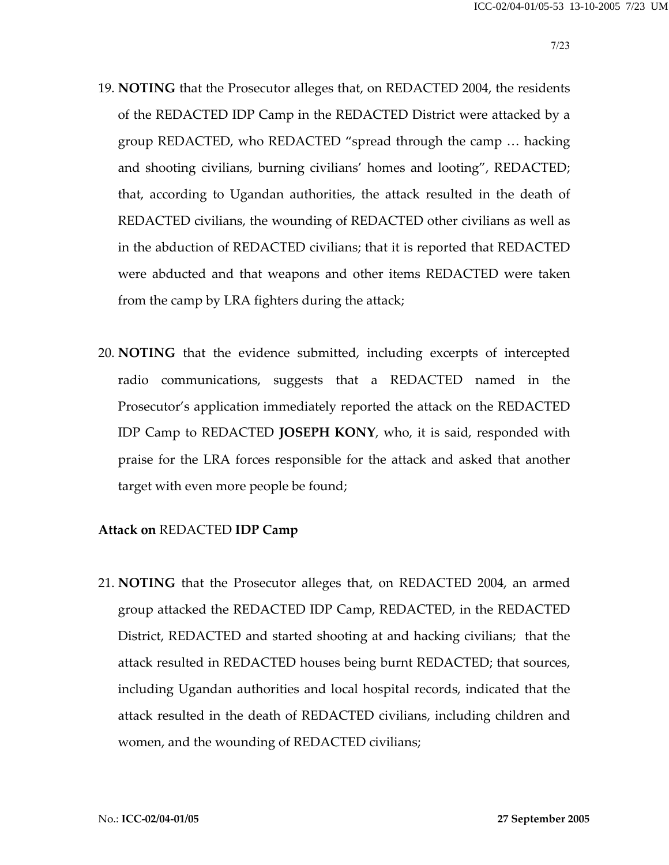- 19. **NOTING** that the Prosecutor alleges that, on REDACTED 2004, the residents of the REDACTED IDP Camp in the REDACTED District were attacked by a group REDACTED, who REDACTED "spread through the camp … hacking and shooting civilians, burning civilians' homes and looting", REDACTED; that, according to Ugandan authorities, the attack resulted in the death of REDACTED civilians, the wounding of REDACTED other civilians as well as in the abduction of REDACTED civilians; that it is reported that REDACTED were abducted and that weapons and other items REDACTED were taken from the camp by LRA fighters during the attack;
- 20. **NOTING** that the evidence submitted, including excerpts of intercepted radio communications, suggests that a REDACTED named in the Prosecutor's application immediately reported the attack on the REDACTED IDP Camp to REDACTED **JOSEPH KONY**, who, it is said, responded with praise for the LRA forces responsible for the attack and asked that another target with even more people be found;

### **Attack on** REDACTED **IDP Camp**

21. **NOTING** that the Prosecutor alleges that, on REDACTED 2004, an armed group attacked the REDACTED IDP Camp, REDACTED, in the REDACTED District, REDACTED and started shooting at and hacking civilians; that the attack resulted in REDACTED houses being burnt REDACTED; that sources, including Ugandan authorities and local hospital records, indicated that the attack resulted in the death of REDACTED civilians, including children and women, and the wounding of REDACTED civilians;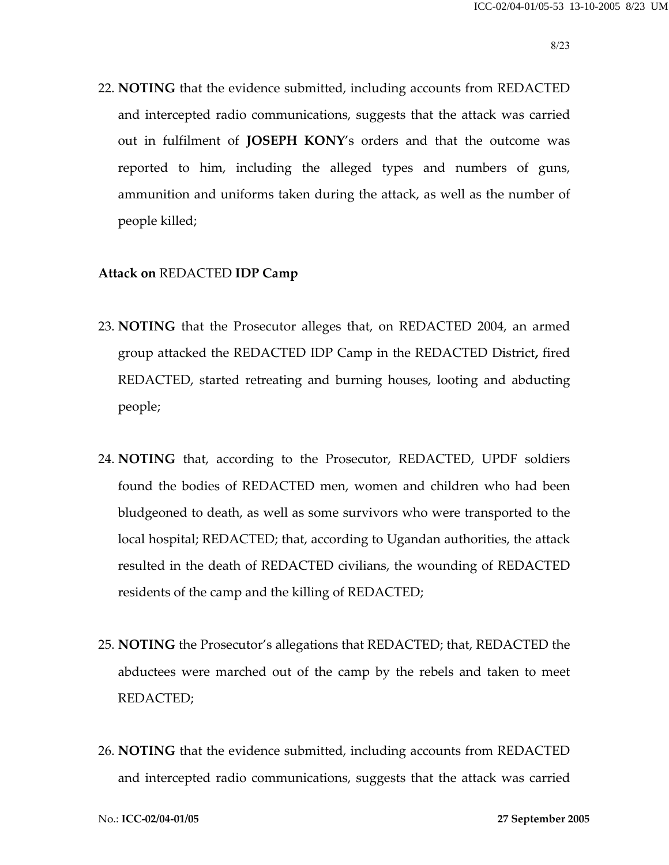22. **NOTING** that the evidence submitted, including accounts from REDACTED and intercepted radio communications, suggests that the attack was carried out in fulfilment of **JOSEPH KONY**'s orders and that the outcome was reported to him, including the alleged types and numbers of guns, ammunition and uniforms taken during the attack, as well as the number of people killed;

# **Attack on** REDACTED **IDP Camp**

- 23. **NOTING** that the Prosecutor alleges that, on REDACTED 2004, an armed group attacked the REDACTED IDP Camp in the REDACTED District**,** fired REDACTED, started retreating and burning houses, looting and abducting people;
- 24. **NOTING** that, according to the Prosecutor, REDACTED, UPDF soldiers found the bodies of REDACTED men, women and children who had been bludgeoned to death, as well as some survivors who were transported to the local hospital; REDACTED; that, according to Ugandan authorities, the attack resulted in the death of REDACTED civilians, the wounding of REDACTED residents of the camp and the killing of REDACTED;
- 25. **NOTING** the Prosecutor's allegations that REDACTED; that, REDACTED the abductees were marched out of the camp by the rebels and taken to meet REDACTED;
- 26. **NOTING** that the evidence submitted, including accounts from REDACTED and intercepted radio communications, suggests that the attack was carried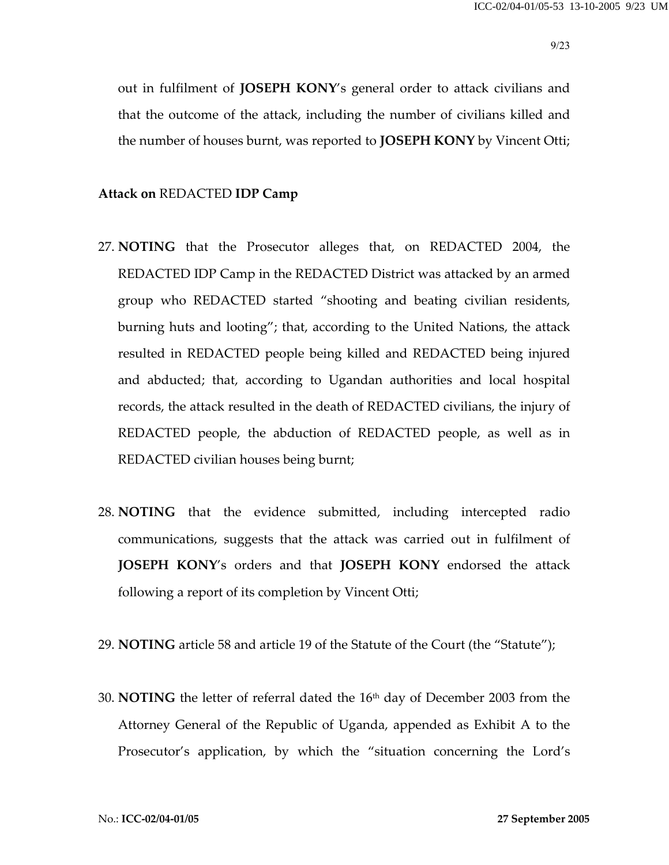out in fulfilment of **JOSEPH KONY**'s general order to attack civilians and that the outcome of the attack, including the number of civilians killed and the number of houses burnt, was reported to **JOSEPH KONY** by Vincent Otti;

#### **Attack on** REDACTED **IDP Camp**

- 27. **NOTING** that the Prosecutor alleges that, on REDACTED 2004, the REDACTED IDP Camp in the REDACTED District was attacked by an armed group who REDACTED started "shooting and beating civilian residents, burning huts and looting"; that, according to the United Nations, the attack resulted in REDACTED people being killed and REDACTED being injured and abducted; that, according to Ugandan authorities and local hospital records, the attack resulted in the death of REDACTED civilians, the injury of REDACTED people, the abduction of REDACTED people, as well as in REDACTED civilian houses being burnt;
- 28. **NOTING** that the evidence submitted, including intercepted radio communications, suggests that the attack was carried out in fulfilment of **JOSEPH KONY**'s orders and that **JOSEPH KONY** endorsed the attack following a report of its completion by Vincent Otti;
- 29. **NOTING** article 58 and article 19 of the Statute of the Court (the "Statute");
- 30. **NOTING** the letter of referral dated the 16<sup>th</sup> day of December 2003 from the Attorney General of the Republic of Uganda, appended as Exhibit A to the Prosecutor's application, by which the "situation concerning the Lord's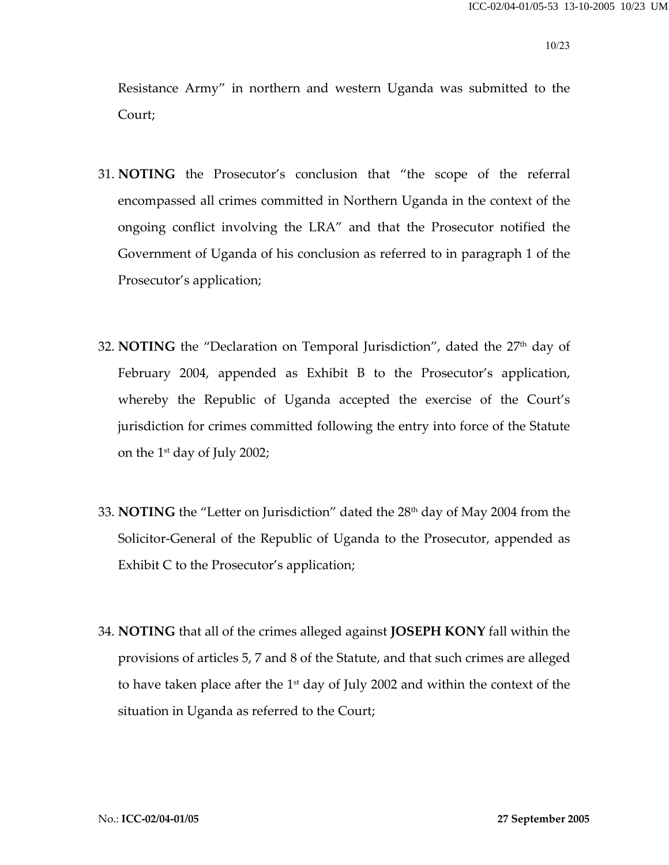Resistance Army" in northern and western Uganda was submitted to the Court;

- 31. **NOTING** the Prosecutor's conclusion that "the scope of the referral encompassed all crimes committed in Northern Uganda in the context of the ongoing conflict involving the LRA" and that the Prosecutor notified the Government of Uganda of his conclusion as referred to in paragraph 1 of the Prosecutor's application;
- 32. **NOTING** the "Declaration on Temporal Jurisdiction", dated the 27<sup>th</sup> day of February 2004, appended as Exhibit B to the Prosecutor's application, whereby the Republic of Uganda accepted the exercise of the Court's jurisdiction for crimes committed following the entry into force of the Statute on the  $1<sup>st</sup>$  day of July 2002;
- 33. **NOTING** the "Letter on Jurisdiction" dated the 28th day of May 2004 from the Solicitor-General of the Republic of Uganda to the Prosecutor, appended as Exhibit C to the Prosecutor's application;
- 34. **NOTING** that all of the crimes alleged against **JOSEPH KONY** fall within the provisions of articles 5, 7 and 8 of the Statute, and that such crimes are alleged to have taken place after the 1<sup>st</sup> day of July 2002 and within the context of the situation in Uganda as referred to the Court;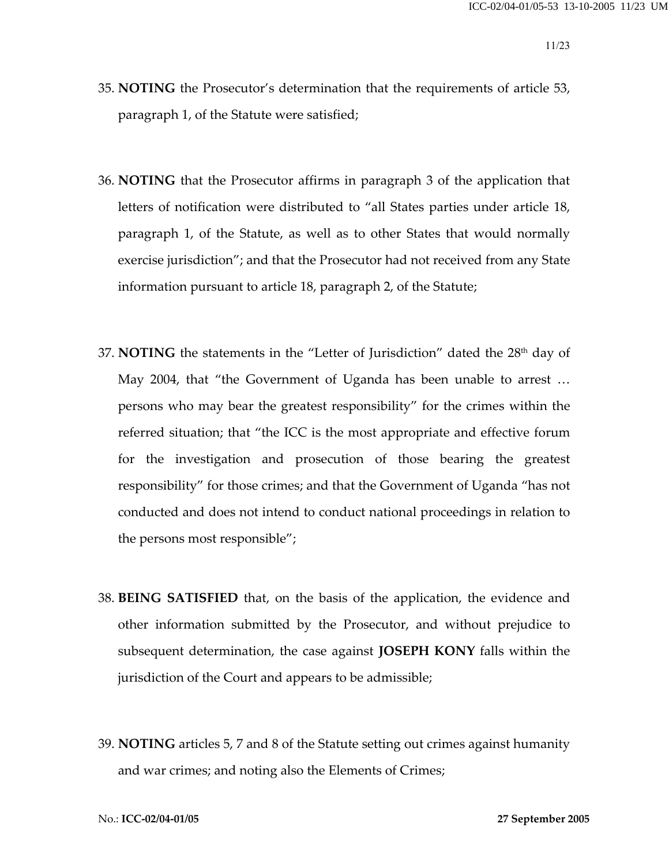- 35. **NOTING** the Prosecutor's determination that the requirements of article 53, paragraph 1, of the Statute were satisfied;
- 36. **NOTING** that the Prosecutor affirms in paragraph 3 of the application that letters of notification were distributed to "all States parties under article 18, paragraph 1, of the Statute, as well as to other States that would normally exercise jurisdiction"; and that the Prosecutor had not received from any State information pursuant to article 18, paragraph 2, of the Statute;
- 37. **NOTING** the statements in the "Letter of Jurisdiction" dated the 28<sup>th</sup> day of May 2004, that "the Government of Uganda has been unable to arrest … persons who may bear the greatest responsibility" for the crimes within the referred situation; that "the ICC is the most appropriate and effective forum for the investigation and prosecution of those bearing the greatest responsibility" for those crimes; and that the Government of Uganda "has not conducted and does not intend to conduct national proceedings in relation to the persons most responsible";
- 38. **BEING SATISFIED** that, on the basis of the application, the evidence and other information submitted by the Prosecutor, and without prejudice to subsequent determination, the case against **JOSEPH KONY** falls within the jurisdiction of the Court and appears to be admissible;
- 39. **NOTING** articles 5, 7 and 8 of the Statute setting out crimes against humanity and war crimes; and noting also the Elements of Crimes;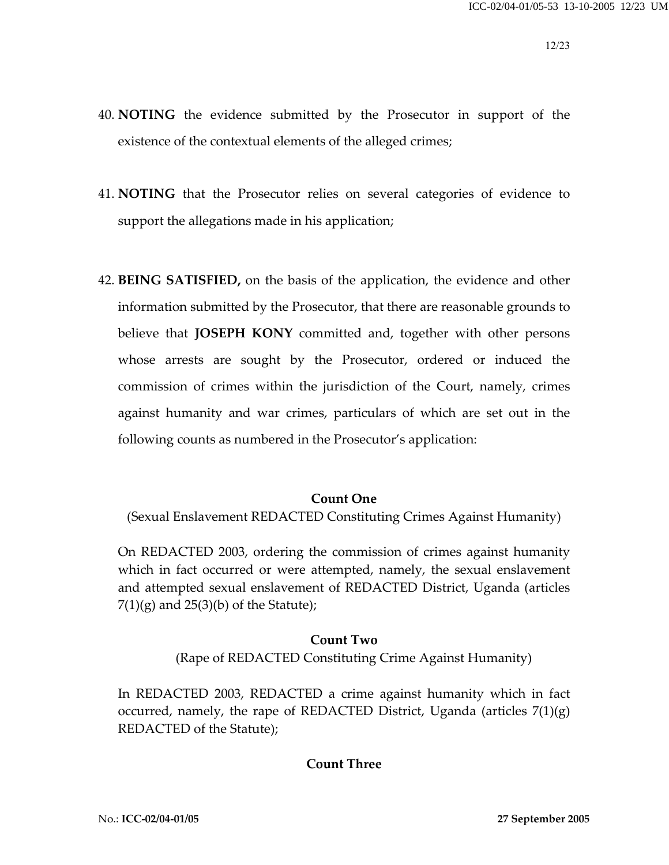- 40. **NOTING** the evidence submitted by the Prosecutor in support of the existence of the contextual elements of the alleged crimes;
- 41. **NOTING** that the Prosecutor relies on several categories of evidence to support the allegations made in his application;
- 42. **BEING SATISFIED,** on the basis of the application, the evidence and other information submitted by the Prosecutor, that there are reasonable grounds to believe that **JOSEPH KONY** committed and, together with other persons whose arrests are sought by the Prosecutor, ordered or induced the commission of crimes within the jurisdiction of the Court, namely, crimes against humanity and war crimes, particulars of which are set out in the following counts as numbered in the Prosecutor's application:

# **Count One**

(Sexual Enslavement REDACTED Constituting Crimes Against Humanity)

On REDACTED 2003, ordering the commission of crimes against humanity which in fact occurred or were attempted, namely, the sexual enslavement and attempted sexual enslavement of REDACTED District, Uganda (articles  $7(1)(g)$  and  $25(3)(b)$  of the Statute);

### **Count Two**

(Rape of REDACTED Constituting Crime Against Humanity)

In REDACTED 2003, REDACTED a crime against humanity which in fact occurred, namely, the rape of REDACTED District, Uganda (articles 7(1)(g) REDACTED of the Statute);

# **Count Three**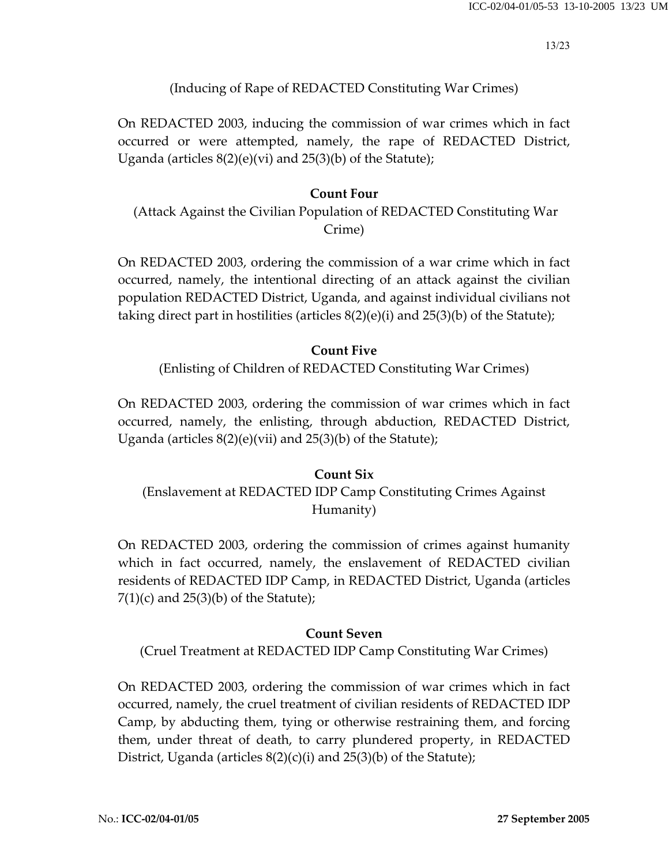# (Inducing of Rape of REDACTED Constituting War Crimes)

On REDACTED 2003, inducing the commission of war crimes which in fact occurred or were attempted, namely, the rape of REDACTED District, Uganda (articles 8(2)(e)(vi) and 25(3)(b) of the Statute);

#### **Count Four**

# (Attack Against the Civilian Population of REDACTED Constituting War Crime)

On REDACTED 2003, ordering the commission of a war crime which in fact occurred, namely, the intentional directing of an attack against the civilian population REDACTED District, Uganda, and against individual civilians not taking direct part in hostilities (articles 8(2)(e)(i) and 25(3)(b) of the Statute);

#### **Count Five**

(Enlisting of Children of REDACTED Constituting War Crimes)

On REDACTED 2003, ordering the commission of war crimes which in fact occurred, namely, the enlisting, through abduction, REDACTED District, Uganda (articles  $8(2)(e)(vi)$  and  $25(3)(b)$  of the Statute);

# **Count Six**  (Enslavement at REDACTED IDP Camp Constituting Crimes Against Humanity)

On REDACTED 2003, ordering the commission of crimes against humanity which in fact occurred, namely, the enslavement of REDACTED civilian residents of REDACTED IDP Camp, in REDACTED District, Uganda (articles  $7(1)(c)$  and  $25(3)(b)$  of the Statute);

### **Count Seven**

(Cruel Treatment at REDACTED IDP Camp Constituting War Crimes)

On REDACTED 2003, ordering the commission of war crimes which in fact occurred, namely, the cruel treatment of civilian residents of REDACTED IDP Camp, by abducting them, tying or otherwise restraining them, and forcing them, under threat of death, to carry plundered property, in REDACTED District, Uganda (articles  $8(2)(c)(i)$  and  $25(3)(b)$  of the Statute);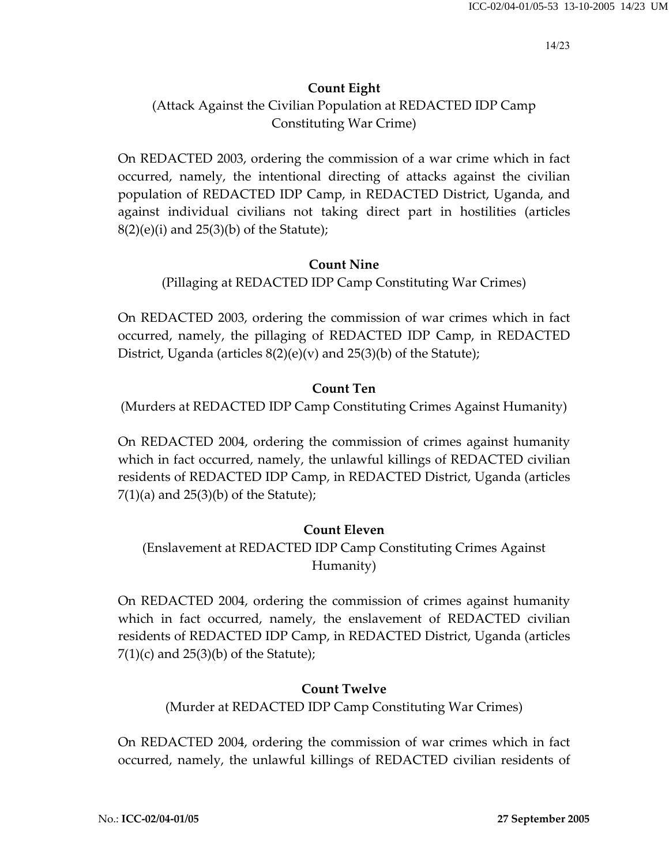# **Count Eight**

(Attack Against the Civilian Population at REDACTED IDP Camp Constituting War Crime)

On REDACTED 2003, ordering the commission of a war crime which in fact occurred, namely, the intentional directing of attacks against the civilian population of REDACTED IDP Camp, in REDACTED District, Uganda, and against individual civilians not taking direct part in hostilities (articles  $8(2)(e)(i)$  and  $25(3)(b)$  of the Statute);

### **Count Nine**

(Pillaging at REDACTED IDP Camp Constituting War Crimes)

On REDACTED 2003, ordering the commission of war crimes which in fact occurred, namely, the pillaging of REDACTED IDP Camp, in REDACTED District, Uganda (articles  $8(2)(e)(v)$  and  $25(3)(b)$  of the Statute);

#### **Count Ten**

(Murders at REDACTED IDP Camp Constituting Crimes Against Humanity)

On REDACTED 2004, ordering the commission of crimes against humanity which in fact occurred, namely, the unlawful killings of REDACTED civilian residents of REDACTED IDP Camp, in REDACTED District, Uganda (articles  $7(1)(a)$  and  $25(3)(b)$  of the Statute);

### **Count Eleven**

# (Enslavement at REDACTED IDP Camp Constituting Crimes Against Humanity)

On REDACTED 2004, ordering the commission of crimes against humanity which in fact occurred, namely, the enslavement of REDACTED civilian residents of REDACTED IDP Camp, in REDACTED District, Uganda (articles  $7(1)(c)$  and  $25(3)(b)$  of the Statute);

#### **Count Twelve**

(Murder at REDACTED IDP Camp Constituting War Crimes)

On REDACTED 2004, ordering the commission of war crimes which in fact occurred, namely, the unlawful killings of REDACTED civilian residents of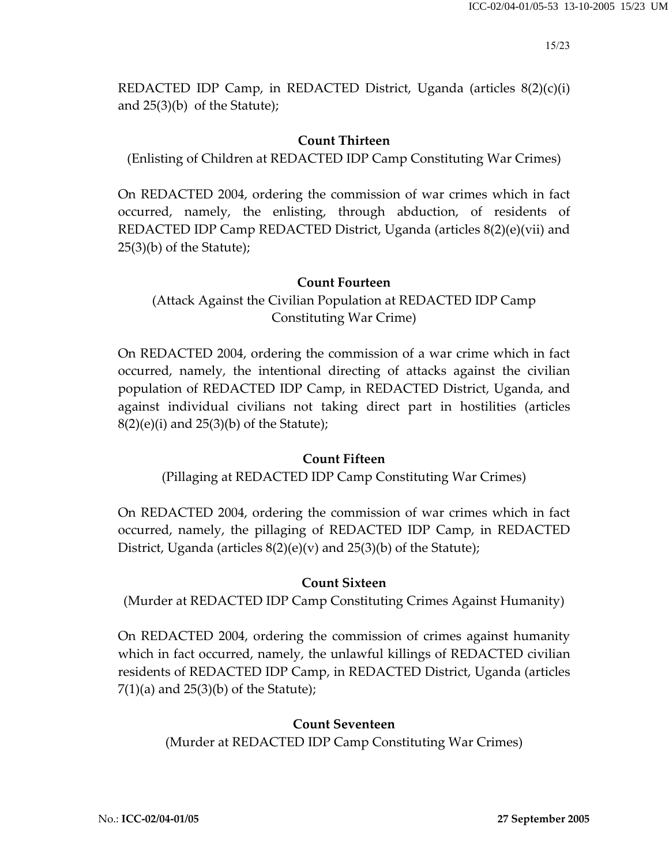REDACTED IDP Camp, in REDACTED District, Uganda (articles 8(2)(c)(i) and 25(3)(b) of the Statute);

# **Count Thirteen**

(Enlisting of Children at REDACTED IDP Camp Constituting War Crimes)

On REDACTED 2004, ordering the commission of war crimes which in fact occurred, namely, the enlisting, through abduction, of residents of REDACTED IDP Camp REDACTED District, Uganda (articles 8(2)(e)(vii) and  $25(3)(b)$  of the Statute);

# **Count Fourteen**

(Attack Against the Civilian Population at REDACTED IDP Camp Constituting War Crime)

On REDACTED 2004, ordering the commission of a war crime which in fact occurred, namely, the intentional directing of attacks against the civilian population of REDACTED IDP Camp, in REDACTED District, Uganda, and against individual civilians not taking direct part in hostilities (articles  $8(2)(e)(i)$  and  $25(3)(b)$  of the Statute);

### **Count Fifteen**

(Pillaging at REDACTED IDP Camp Constituting War Crimes)

On REDACTED 2004, ordering the commission of war crimes which in fact occurred, namely, the pillaging of REDACTED IDP Camp, in REDACTED District, Uganda (articles  $8(2)(e)(v)$  and  $25(3)(b)$  of the Statute);

# **Count Sixteen**

(Murder at REDACTED IDP Camp Constituting Crimes Against Humanity)

On REDACTED 2004, ordering the commission of crimes against humanity which in fact occurred, namely, the unlawful killings of REDACTED civilian residents of REDACTED IDP Camp, in REDACTED District, Uganda (articles 7(1)(a) and 25(3)(b) of the Statute);

### **Count Seventeen**

(Murder at REDACTED IDP Camp Constituting War Crimes)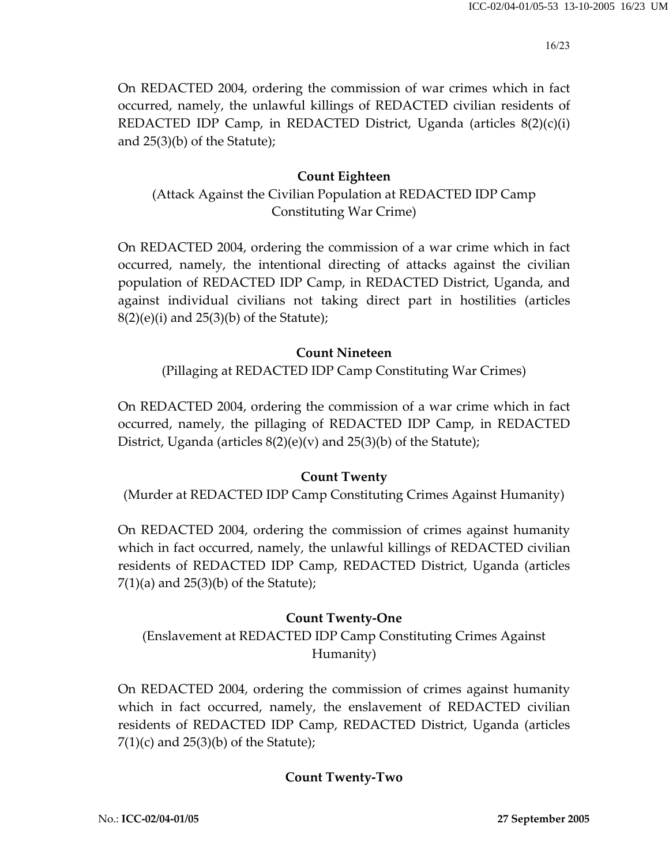On REDACTED 2004, ordering the commission of war crimes which in fact occurred, namely, the unlawful killings of REDACTED civilian residents of REDACTED IDP Camp, in REDACTED District, Uganda (articles 8(2)(c)(i) and 25(3)(b) of the Statute);

# **Count Eighteen**

(Attack Against the Civilian Population at REDACTED IDP Camp Constituting War Crime)

On REDACTED 2004, ordering the commission of a war crime which in fact occurred, namely, the intentional directing of attacks against the civilian population of REDACTED IDP Camp, in REDACTED District, Uganda, and against individual civilians not taking direct part in hostilities (articles  $8(2)(e)(i)$  and  $25(3)(b)$  of the Statute);

#### **Count Nineteen**

(Pillaging at REDACTED IDP Camp Constituting War Crimes)

On REDACTED 2004, ordering the commission of a war crime which in fact occurred, namely, the pillaging of REDACTED IDP Camp, in REDACTED District, Uganda (articles  $8(2)(e)(v)$  and  $25(3)(b)$  of the Statute);

### **Count Twenty**

(Murder at REDACTED IDP Camp Constituting Crimes Against Humanity)

On REDACTED 2004, ordering the commission of crimes against humanity which in fact occurred, namely, the unlawful killings of REDACTED civilian residents of REDACTED IDP Camp, REDACTED District, Uganda (articles  $7(1)(a)$  and  $25(3)(b)$  of the Statute);

### **Count Twenty-One**

(Enslavement at REDACTED IDP Camp Constituting Crimes Against Humanity)

On REDACTED 2004, ordering the commission of crimes against humanity which in fact occurred, namely, the enslavement of REDACTED civilian residents of REDACTED IDP Camp, REDACTED District, Uganda (articles  $7(1)(c)$  and  $25(3)(b)$  of the Statute);

### **Count Twenty-Two**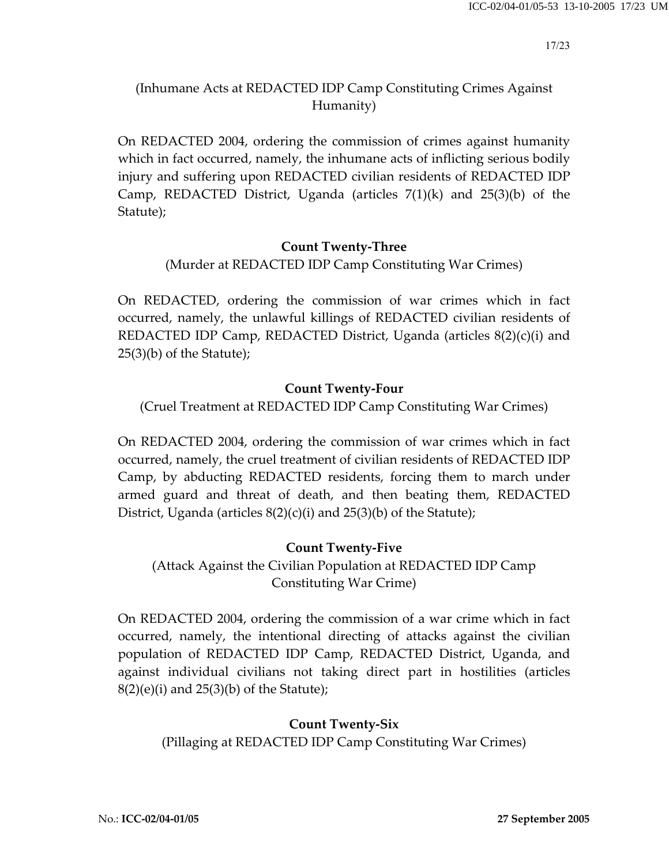# (Inhumane Acts at REDACTED IDP Camp Constituting Crimes Against Humanity)

On REDACTED 2004, ordering the commission of crimes against humanity which in fact occurred, namely, the inhumane acts of inflicting serious bodily injury and suffering upon REDACTED civilian residents of REDACTED IDP Camp, REDACTED District, Uganda (articles 7(1)(k) and 25(3)(b) of the Statute);

# **Count Twenty-Three**

(Murder at REDACTED IDP Camp Constituting War Crimes)

On REDACTED, ordering the commission of war crimes which in fact occurred, namely, the unlawful killings of REDACTED civilian residents of REDACTED IDP Camp, REDACTED District, Uganda (articles 8(2)(c)(i) and 25(3)(b) of the Statute);

### **Count Twenty-Four**

(Cruel Treatment at REDACTED IDP Camp Constituting War Crimes)

On REDACTED 2004, ordering the commission of war crimes which in fact occurred, namely, the cruel treatment of civilian residents of REDACTED IDP Camp, by abducting REDACTED residents, forcing them to march under armed guard and threat of death, and then beating them, REDACTED District, Uganda (articles  $8(2)(c)(i)$  and  $25(3)(b)$  of the Statute);

# **Count Twenty-Five**

(Attack Against the Civilian Population at REDACTED IDP Camp Constituting War Crime)

On REDACTED 2004, ordering the commission of a war crime which in fact occurred, namely, the intentional directing of attacks against the civilian population of REDACTED IDP Camp, REDACTED District, Uganda, and against individual civilians not taking direct part in hostilities (articles  $8(2)(e)(i)$  and  $25(3)(b)$  of the Statute);

# **Count Twenty-Six**

(Pillaging at REDACTED IDP Camp Constituting War Crimes)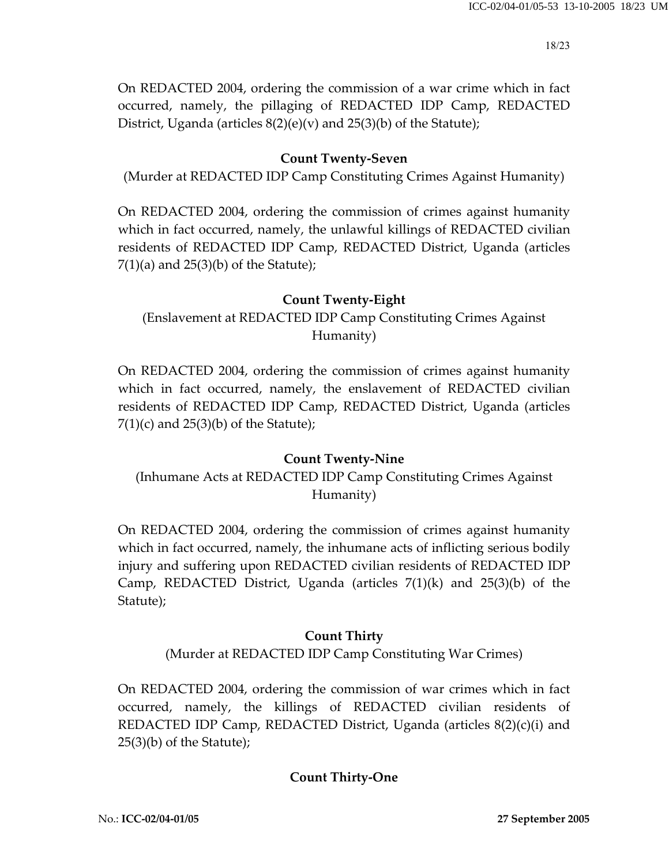On REDACTED 2004, ordering the commission of a war crime which in fact occurred, namely, the pillaging of REDACTED IDP Camp, REDACTED District, Uganda (articles  $8(2)(e)(v)$  and  $25(3)(b)$  of the Statute);

# **Count Twenty-Seven**

(Murder at REDACTED IDP Camp Constituting Crimes Against Humanity)

On REDACTED 2004, ordering the commission of crimes against humanity which in fact occurred, namely, the unlawful killings of REDACTED civilian residents of REDACTED IDP Camp, REDACTED District, Uganda (articles  $7(1)(a)$  and  $25(3)(b)$  of the Statute);

### **Count Twenty-Eight**

(Enslavement at REDACTED IDP Camp Constituting Crimes Against Humanity)

On REDACTED 2004, ordering the commission of crimes against humanity which in fact occurred, namely, the enslavement of REDACTED civilian residents of REDACTED IDP Camp, REDACTED District, Uganda (articles  $7(1)(c)$  and  $25(3)(b)$  of the Statute);

### **Count Twenty-Nine**

(Inhumane Acts at REDACTED IDP Camp Constituting Crimes Against Humanity)

On REDACTED 2004, ordering the commission of crimes against humanity which in fact occurred, namely, the inhumane acts of inflicting serious bodily injury and suffering upon REDACTED civilian residents of REDACTED IDP Camp, REDACTED District, Uganda (articles  $7(1)(k)$  and  $25(3)(b)$  of the Statute);

# **Count Thirty**

(Murder at REDACTED IDP Camp Constituting War Crimes)

On REDACTED 2004, ordering the commission of war crimes which in fact occurred, namely, the killings of REDACTED civilian residents of REDACTED IDP Camp, REDACTED District, Uganda (articles 8(2)(c)(i) and 25(3)(b) of the Statute);

# **Count Thirty-One**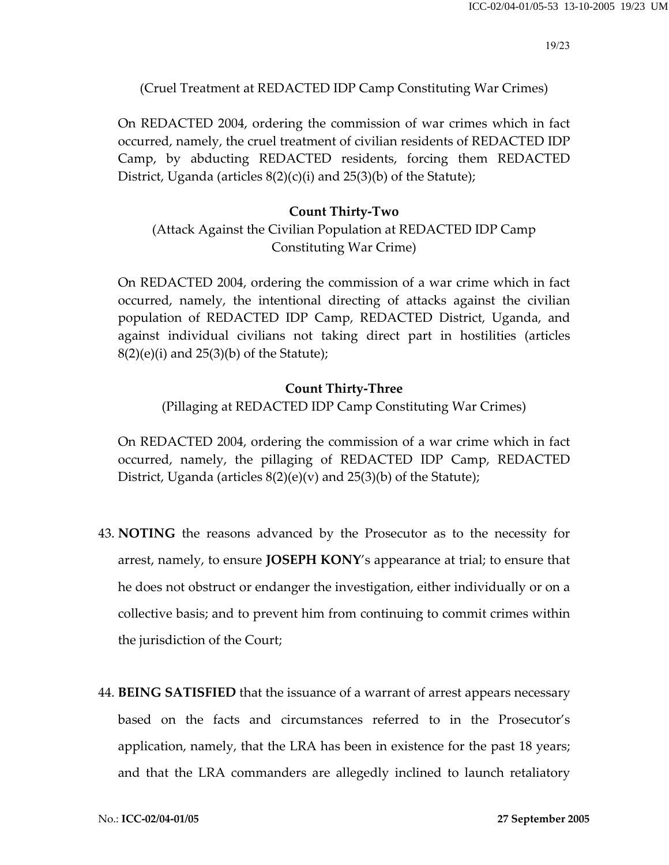(Cruel Treatment at REDACTED IDP Camp Constituting War Crimes)

On REDACTED 2004, ordering the commission of war crimes which in fact occurred, namely, the cruel treatment of civilian residents of REDACTED IDP Camp, by abducting REDACTED residents, forcing them REDACTED District, Uganda (articles  $8(2)(c)(i)$  and  $25(3)(b)$  of the Statute);

### **Count Thirty-Two**

(Attack Against the Civilian Population at REDACTED IDP Camp Constituting War Crime)

On REDACTED 2004, ordering the commission of a war crime which in fact occurred, namely, the intentional directing of attacks against the civilian population of REDACTED IDP Camp, REDACTED District, Uganda, and against individual civilians not taking direct part in hostilities (articles  $8(2)(e)(i)$  and  $25(3)(b)$  of the Statute);

#### **Count Thirty-Three**

(Pillaging at REDACTED IDP Camp Constituting War Crimes)

On REDACTED 2004, ordering the commission of a war crime which in fact occurred, namely, the pillaging of REDACTED IDP Camp, REDACTED District, Uganda (articles  $8(2)(e)(v)$  and  $25(3)(b)$  of the Statute);

- 43. **NOTING** the reasons advanced by the Prosecutor as to the necessity for arrest, namely, to ensure **JOSEPH KONY**'s appearance at trial; to ensure that he does not obstruct or endanger the investigation, either individually or on a collective basis; and to prevent him from continuing to commit crimes within the jurisdiction of the Court;
- 44. **BEING SATISFIED** that the issuance of a warrant of arrest appears necessary based on the facts and circumstances referred to in the Prosecutor's application, namely, that the LRA has been in existence for the past 18 years; and that the LRA commanders are allegedly inclined to launch retaliatory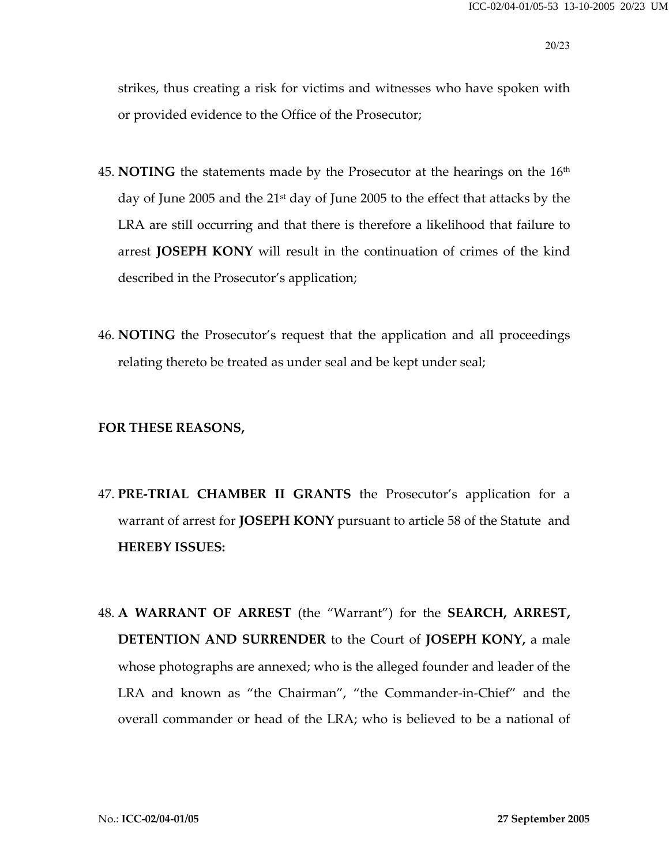strikes, thus creating a risk for victims and witnesses who have spoken with or provided evidence to the Office of the Prosecutor;

- 45. **NOTING** the statements made by the Prosecutor at the hearings on the 16th day of June 2005 and the  $21<sup>st</sup>$  day of June 2005 to the effect that attacks by the LRA are still occurring and that there is therefore a likelihood that failure to arrest **JOSEPH KONY** will result in the continuation of crimes of the kind described in the Prosecutor's application;
- 46. **NOTING** the Prosecutor's request that the application and all proceedings relating thereto be treated as under seal and be kept under seal;

#### **FOR THESE REASONS,**

- 47. **PRE-TRIAL CHAMBER II GRANTS** the Prosecutor's application for a warrant of arrest for **JOSEPH KONY** pursuant to article 58 of the Statute and **HEREBY ISSUES:**
- 48. **A WARRANT OF ARREST** (the "Warrant") for the **SEARCH, ARREST, DETENTION AND SURRENDER** to the Court of **JOSEPH KONY,** a male whose photographs are annexed; who is the alleged founder and leader of the LRA and known as "the Chairman", "the Commander-in-Chief" and the overall commander or head of the LRA; who is believed to be a national of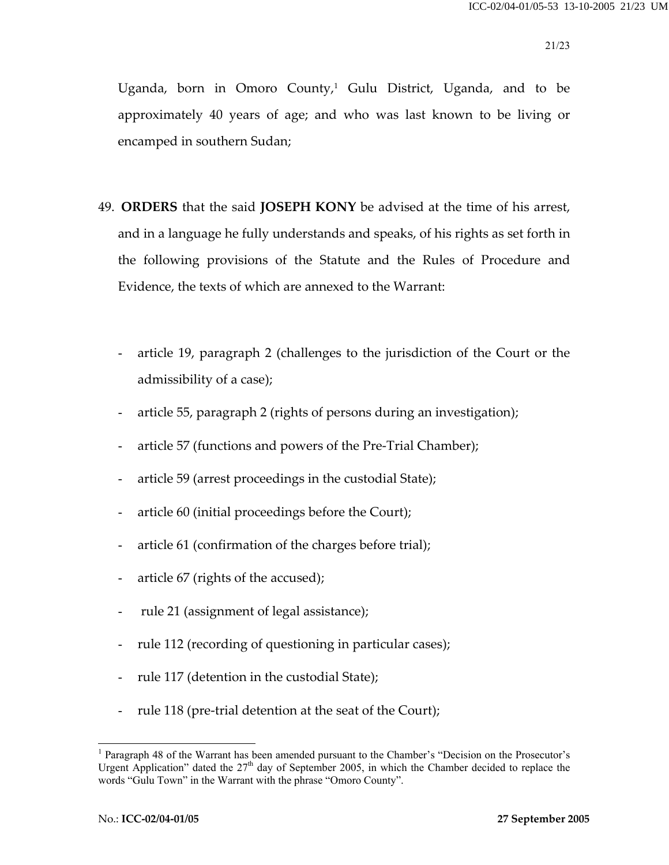Uganda, born in Omoro County,<sup>1</sup> Gulu District, Uganda, and to be approximately 40 years of age; and who was last known to be living or encamped in southern Sudan;

- 49. **ORDERS** that the said **JOSEPH KONY** be advised at the time of his arrest, and in a language he fully understands and speaks, of his rights as set forth in the following provisions of the Statute and the Rules of Procedure and Evidence, the texts of which are annexed to the Warrant:
	- article 19, paragraph 2 (challenges to the jurisdiction of the Court or the admissibility of a case);
	- article 55, paragraph 2 (rights of persons during an investigation);
	- article 57 (functions and powers of the Pre-Trial Chamber);
	- article 59 (arrest proceedings in the custodial State);
	- article 60 (initial proceedings before the Court);
	- article 61 (confirmation of the charges before trial);
	- article 67 (rights of the accused);
	- rule 21 (assignment of legal assistance);
	- rule 112 (recording of questioning in particular cases);
	- rule 117 (detention in the custodial State);
	- rule 118 (pre-trial detention at the seat of the Court);

l

<sup>&</sup>lt;sup>1</sup> Paragraph 48 of the Warrant has been amended pursuant to the Chamber's "Decision on the Prosecutor's Urgent Application" dated the  $27<sup>th</sup>$  day of September 2005, in which the Chamber decided to replace the words "Gulu Town" in the Warrant with the phrase "Omoro County".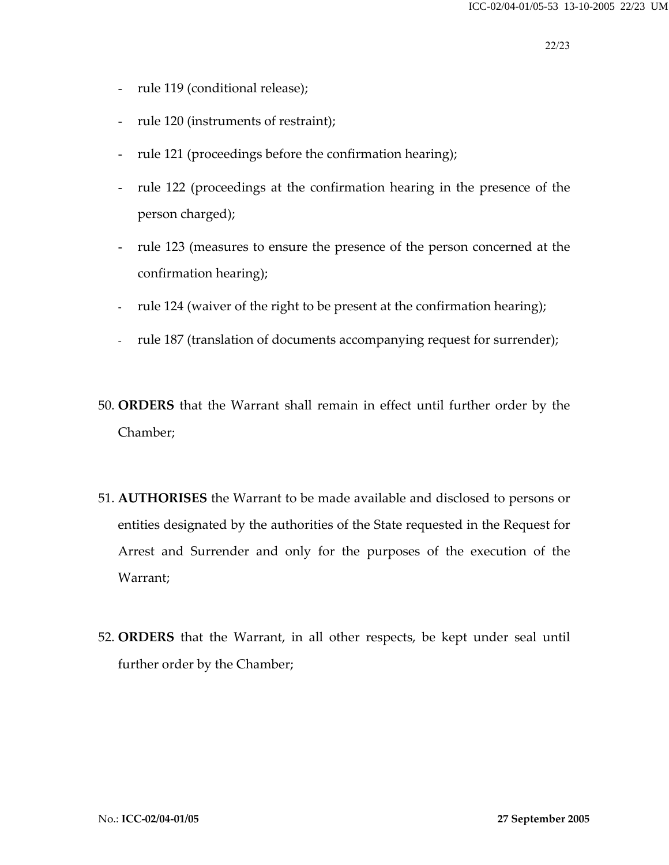- rule 119 (conditional release);
- rule 120 (instruments of restraint);
- rule 121 (proceedings before the confirmation hearing);
- rule 122 (proceedings at the confirmation hearing in the presence of the person charged);
- rule 123 (measures to ensure the presence of the person concerned at the confirmation hearing);
- rule 124 (waiver of the right to be present at the confirmation hearing);
- rule 187 (translation of documents accompanying request for surrender);
- 50. **ORDERS** that the Warrant shall remain in effect until further order by the Chamber;
- 51. **AUTHORISES** the Warrant to be made available and disclosed to persons or entities designated by the authorities of the State requested in the Request for Arrest and Surrender and only for the purposes of the execution of the Warrant;
- 52. **ORDERS** that the Warrant, in all other respects, be kept under seal until further order by the Chamber;